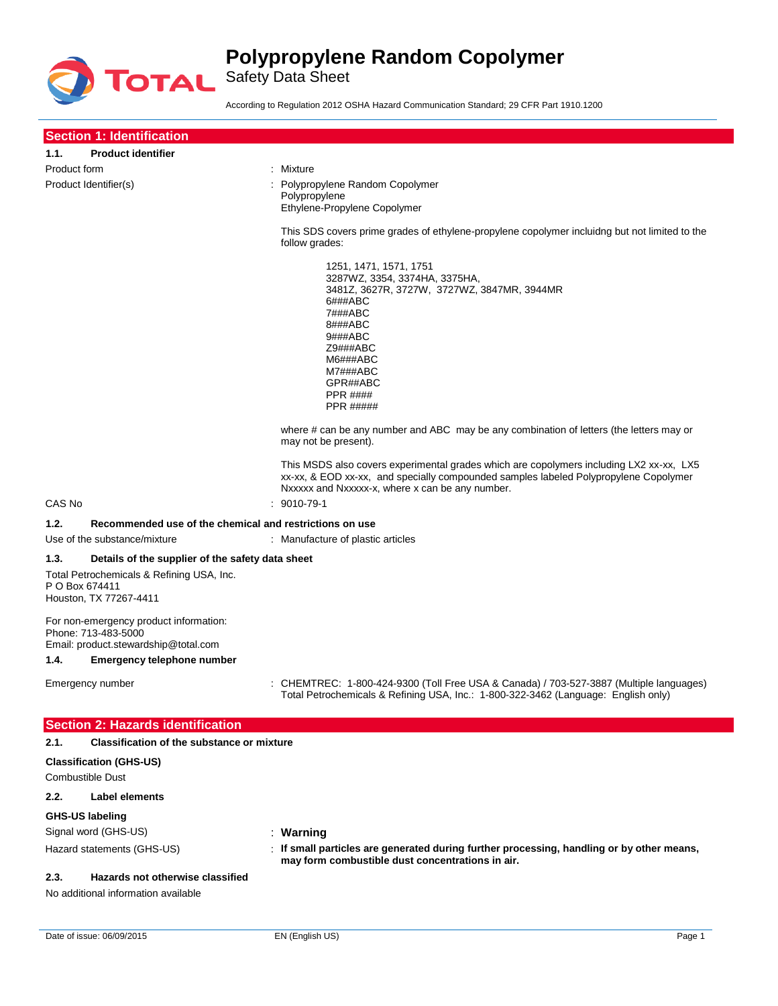

Safety Data Sheet

According to Regulation 2012 OSHA Hazard Communication Standard; 29 CFR Part 1910.1200

| <b>Section 1: Identification</b>                                                                                                                  |                                                                                                                                                                                                                                           |
|---------------------------------------------------------------------------------------------------------------------------------------------------|-------------------------------------------------------------------------------------------------------------------------------------------------------------------------------------------------------------------------------------------|
| <b>Product identifier</b><br>1.1.                                                                                                                 |                                                                                                                                                                                                                                           |
| Product form                                                                                                                                      | : Mixture                                                                                                                                                                                                                                 |
| Product Identifier(s)                                                                                                                             | Polypropylene Random Copolymer<br>Polypropylene<br>Ethylene-Propylene Copolymer                                                                                                                                                           |
|                                                                                                                                                   | This SDS covers prime grades of ethylene-propylene copolymer incluidng but not limited to the<br>follow grades:                                                                                                                           |
|                                                                                                                                                   | 1251, 1471, 1571, 1751<br>3287WZ, 3354, 3374HA, 3375HA,<br>3481Z, 3627R, 3727W, 3727WZ, 3847MR, 3944MR<br>6###ABC<br>7###ABC<br>8###ABC<br>9###ABC<br>Z9###ABC<br>M6###ABC<br>M7###ABC<br>GPR##ABC<br><b>PPR ####</b><br><b>PPR #####</b> |
|                                                                                                                                                   | where # can be any number and ABC may be any combination of letters (the letters may or<br>may not be present).                                                                                                                           |
|                                                                                                                                                   | This MSDS also covers experimental grades which are copolymers including LX2 xx-xx, LX5<br>xx-xx, & EOD xx-xx, and specially compounded samples labeled Polypropylene Copolymer<br>Nxxxxx and Nxxxxx-x, where x can be any number.        |
| CAS No                                                                                                                                            | $: 9010 - 79 - 1$                                                                                                                                                                                                                         |
| 1.2.<br>Recommended use of the chemical and restrictions on use                                                                                   |                                                                                                                                                                                                                                           |
| Use of the substance/mixture                                                                                                                      | : Manufacture of plastic articles                                                                                                                                                                                                         |
| 1.3.<br>Details of the supplier of the safety data sheet<br>Total Petrochemicals & Refining USA, Inc.<br>P O Box 674411<br>Houston, TX 77267-4411 |                                                                                                                                                                                                                                           |
| For non-emergency product information:<br>Phone: 713-483-5000<br>Email: product.stewardship@total.com<br>Emergency telephone number<br>1.4.       |                                                                                                                                                                                                                                           |
|                                                                                                                                                   |                                                                                                                                                                                                                                           |
| Emergency number                                                                                                                                  | : CHEMTREC: 1-800-424-9300 (Toll Free USA & Canada) / 703-527-3887 (Multiple languages)<br>Total Petrochemicals & Refining USA, Inc.: 1-800-322-3462 (Language: English only)                                                             |
| <b>Section 2: Hazards identification</b>                                                                                                          |                                                                                                                                                                                                                                           |
| <b>Classification of the substance or mixture</b><br>2.1.                                                                                         |                                                                                                                                                                                                                                           |
| <b>Classification (GHS-US)</b><br><b>Combustible Dust</b>                                                                                         |                                                                                                                                                                                                                                           |
| 2.2.<br>Label elements                                                                                                                            |                                                                                                                                                                                                                                           |
| GHS-US labeling                                                                                                                                   |                                                                                                                                                                                                                                           |
| Signal word (GHS-US)                                                                                                                              | : Warning                                                                                                                                                                                                                                 |
| Hazard statements (GHS-US)                                                                                                                        | : If small particles are generated during further processing, handling or by other means,<br>may form combustible dust concentrations in air.                                                                                             |
| Hazards not otherwise classified<br>2.3.<br>No additional information available                                                                   |                                                                                                                                                                                                                                           |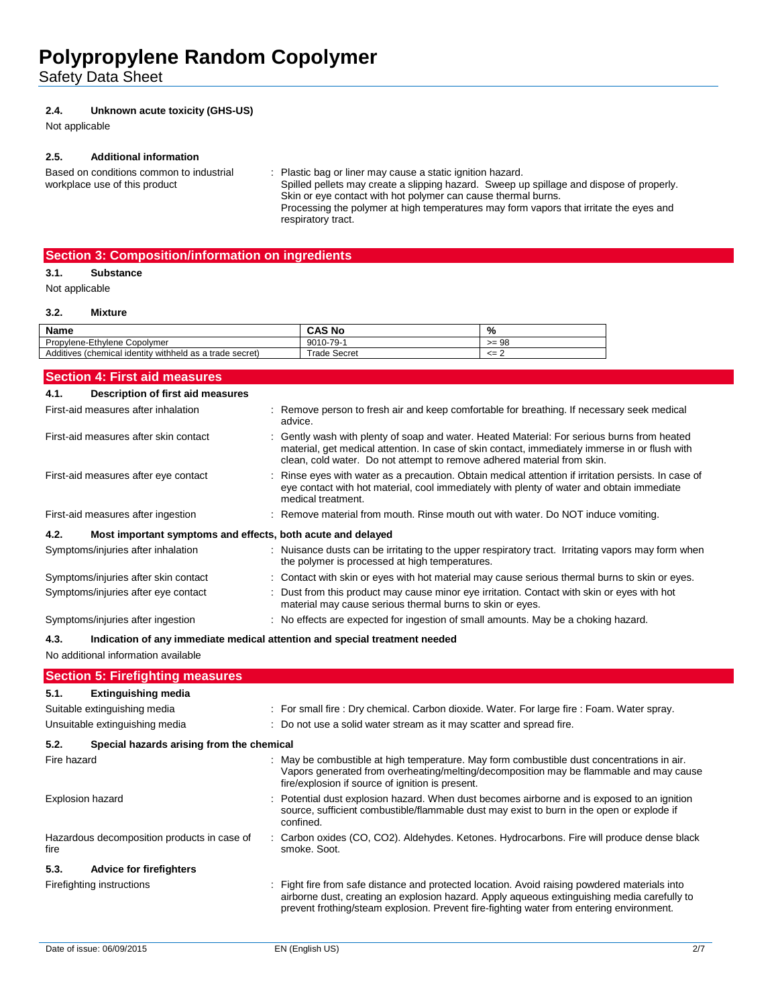Safety Data Sheet

#### **2.4. Unknown acute toxicity (GHS-US)**

Not applicable

#### **2.5. Additional information**

Based on conditions common to industrial workplace use of this product

: Plastic bag or liner may cause a static ignition hazard. Spilled pellets may create a slipping hazard. Sweep up spillage and dispose of properly. Skin or eye contact with hot polymer can cause thermal burns. Processing the polymer at high temperatures may form vapors that irritate the eyes and respiratory tract.

### **Section 3: Composition/information on ingredients**

## **3.1. Substance**

Not applicable

#### **3.2. Mixture**

| <b>Name</b>                                              | <b>CAS No</b> | %             |
|----------------------------------------------------------|---------------|---------------|
| Propylene-Ethylene Copolymer                             | 9010-79-1     | $>= 98$       |
| Additives (chemical identity withheld as a trade secret) | Trade Secret  | $\leq$ $\geq$ |

|             | <b>Section 4: First aid measures</b>                        |                                                                                                                                                                                                                                                                                        |
|-------------|-------------------------------------------------------------|----------------------------------------------------------------------------------------------------------------------------------------------------------------------------------------------------------------------------------------------------------------------------------------|
| 4.1.        | <b>Description of first aid measures</b>                    |                                                                                                                                                                                                                                                                                        |
|             | First-aid measures after inhalation                         | Remove person to fresh air and keep comfortable for breathing. If necessary seek medical<br>advice.                                                                                                                                                                                    |
|             | First-aid measures after skin contact                       | Gently wash with plenty of soap and water. Heated Material: For serious burns from heated<br>material, get medical attention. In case of skin contact, immediately immerse in or flush with<br>clean, cold water. Do not attempt to remove adhered material from skin.                 |
|             | First-aid measures after eye contact                        | Rinse eyes with water as a precaution. Obtain medical attention if irritation persists. In case of<br>eye contact with hot material, cool immediately with plenty of water and obtain immediate<br>medical treatment.                                                                  |
|             | First-aid measures after ingestion                          | Remove material from mouth. Rinse mouth out with water. Do NOT induce vomiting.                                                                                                                                                                                                        |
| 4.2.        | Most important symptoms and effects, both acute and delayed |                                                                                                                                                                                                                                                                                        |
|             | Symptoms/injuries after inhalation                          | : Nuisance dusts can be irritating to the upper respiratory tract. Irritating vapors may form when<br>the polymer is processed at high temperatures.                                                                                                                                   |
|             | Symptoms/injuries after skin contact                        | Contact with skin or eyes with hot material may cause serious thermal burns to skin or eyes.                                                                                                                                                                                           |
|             | Symptoms/injuries after eye contact                         | : Dust from this product may cause minor eye irritation. Contact with skin or eyes with hot<br>material may cause serious thermal burns to skin or eyes.                                                                                                                               |
|             | Symptoms/injuries after ingestion                           | : No effects are expected for ingestion of small amounts. May be a choking hazard.                                                                                                                                                                                                     |
| 4.3.        |                                                             | Indication of any immediate medical attention and special treatment needed                                                                                                                                                                                                             |
|             | No additional information available                         |                                                                                                                                                                                                                                                                                        |
|             | <b>Section 5: Firefighting measures</b>                     |                                                                                                                                                                                                                                                                                        |
| 5.1.        | <b>Extinguishing media</b>                                  |                                                                                                                                                                                                                                                                                        |
|             | Suitable extinguishing media                                | : For small fire : Dry chemical. Carbon dioxide. Water. For large fire : Foam. Water spray.                                                                                                                                                                                            |
|             | Unsuitable extinguishing media                              | : Do not use a solid water stream as it may scatter and spread fire.                                                                                                                                                                                                                   |
| 5.2.        | Special hazards arising from the chemical                   |                                                                                                                                                                                                                                                                                        |
| Fire hazard |                                                             | May be combustible at high temperature. May form combustible dust concentrations in air.<br>Vapors generated from overheating/melting/decomposition may be flammable and may cause<br>fire/explosion if source of ignition is present.                                                 |
|             | <b>Explosion hazard</b>                                     | Potential dust explosion hazard. When dust becomes airborne and is exposed to an ignition<br>source, sufficient combustible/flammable dust may exist to burn in the open or explode if<br>confined.                                                                                    |
| fire        | Hazardous decomposition products in case of                 | Carbon oxides (CO, CO2). Aldehydes. Ketones. Hydrocarbons. Fire will produce dense black<br>smoke. Soot.                                                                                                                                                                               |
| 5.3.        | <b>Advice for firefighters</b>                              |                                                                                                                                                                                                                                                                                        |
|             | Firefighting instructions                                   | Fight fire from safe distance and protected location. Avoid raising powdered materials into<br>airborne dust, creating an explosion hazard. Apply aqueous extinguishing media carefully to<br>prevent frothing/steam explosion. Prevent fire-fighting water from entering environment. |
|             |                                                             |                                                                                                                                                                                                                                                                                        |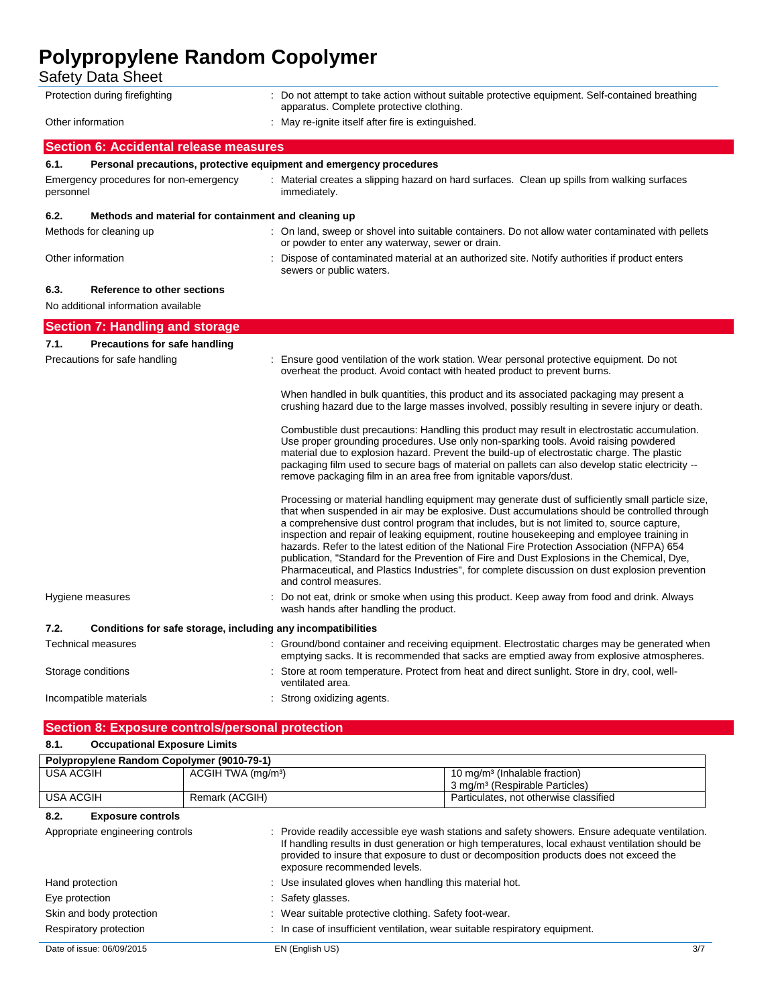Safety Data Sheet

| ouiviy Duiu Univui                                                         |                                                                                                                                                                                                                                                                                                                                                                                                                                                                                                                                                                                                                                                                                                                      |  |  |
|----------------------------------------------------------------------------|----------------------------------------------------------------------------------------------------------------------------------------------------------------------------------------------------------------------------------------------------------------------------------------------------------------------------------------------------------------------------------------------------------------------------------------------------------------------------------------------------------------------------------------------------------------------------------------------------------------------------------------------------------------------------------------------------------------------|--|--|
| Protection during firefighting                                             | : Do not attempt to take action without suitable protective equipment. Self-contained breathing<br>apparatus. Complete protective clothing.                                                                                                                                                                                                                                                                                                                                                                                                                                                                                                                                                                          |  |  |
| Other information                                                          | : May re-ignite itself after fire is extinguished.                                                                                                                                                                                                                                                                                                                                                                                                                                                                                                                                                                                                                                                                   |  |  |
| <b>Section 6: Accidental release measures</b>                              |                                                                                                                                                                                                                                                                                                                                                                                                                                                                                                                                                                                                                                                                                                                      |  |  |
| 6.1.                                                                       | Personal precautions, protective equipment and emergency procedures                                                                                                                                                                                                                                                                                                                                                                                                                                                                                                                                                                                                                                                  |  |  |
| Emergency procedures for non-emergency<br>personnel                        | : Material creates a slipping hazard on hard surfaces. Clean up spills from walking surfaces<br>immediately.                                                                                                                                                                                                                                                                                                                                                                                                                                                                                                                                                                                                         |  |  |
| 6.2.<br>Methods and material for containment and cleaning up               |                                                                                                                                                                                                                                                                                                                                                                                                                                                                                                                                                                                                                                                                                                                      |  |  |
| Methods for cleaning up                                                    | : On land, sweep or shovel into suitable containers. Do not allow water contaminated with pellets<br>or powder to enter any waterway, sewer or drain.                                                                                                                                                                                                                                                                                                                                                                                                                                                                                                                                                                |  |  |
| Other information                                                          | Dispose of contaminated material at an authorized site. Notify authorities if product enters<br>sewers or public waters.                                                                                                                                                                                                                                                                                                                                                                                                                                                                                                                                                                                             |  |  |
| 6.3.<br>Reference to other sections<br>No additional information available |                                                                                                                                                                                                                                                                                                                                                                                                                                                                                                                                                                                                                                                                                                                      |  |  |
| <b>Section 7: Handling and storage</b>                                     |                                                                                                                                                                                                                                                                                                                                                                                                                                                                                                                                                                                                                                                                                                                      |  |  |
| 7.1.<br>Precautions for safe handling                                      |                                                                                                                                                                                                                                                                                                                                                                                                                                                                                                                                                                                                                                                                                                                      |  |  |
| Precautions for safe handling                                              | : Ensure good ventilation of the work station. Wear personal protective equipment. Do not<br>overheat the product. Avoid contact with heated product to prevent burns.                                                                                                                                                                                                                                                                                                                                                                                                                                                                                                                                               |  |  |
|                                                                            | When handled in bulk quantities, this product and its associated packaging may present a<br>crushing hazard due to the large masses involved, possibly resulting in severe injury or death.                                                                                                                                                                                                                                                                                                                                                                                                                                                                                                                          |  |  |
|                                                                            | Combustible dust precautions: Handling this product may result in electrostatic accumulation.<br>Use proper grounding procedures. Use only non-sparking tools. Avoid raising powdered<br>material due to explosion hazard. Prevent the build-up of electrostatic charge. The plastic<br>packaging film used to secure bags of material on pallets can also develop static electricity --<br>remove packaging film in an area free from ignitable vapors/dust.                                                                                                                                                                                                                                                        |  |  |
|                                                                            | Processing or material handling equipment may generate dust of sufficiently small particle size,<br>that when suspended in air may be explosive. Dust accumulations should be controlled through<br>a comprehensive dust control program that includes, but is not limited to, source capture,<br>inspection and repair of leaking equipment, routine housekeeping and employee training in<br>hazards. Refer to the latest edition of the National Fire Protection Association (NFPA) 654<br>publication, "Standard for the Prevention of Fire and Dust Explosions in the Chemical, Dye,<br>Pharmaceutical, and Plastics Industries", for complete discussion on dust explosion prevention<br>and control measures. |  |  |
| Hygiene measures                                                           | Do not eat, drink or smoke when using this product. Keep away from food and drink. Always<br>wash hands after handling the product.                                                                                                                                                                                                                                                                                                                                                                                                                                                                                                                                                                                  |  |  |
| 7.2.                                                                       | Conditions for safe storage, including any incompatibilities                                                                                                                                                                                                                                                                                                                                                                                                                                                                                                                                                                                                                                                         |  |  |
| <b>Technical measures</b>                                                  | : Ground/bond container and receiving equipment. Electrostatic charges may be generated when<br>emptying sacks. It is recommended that sacks are emptied away from explosive atmospheres.                                                                                                                                                                                                                                                                                                                                                                                                                                                                                                                            |  |  |
| Storage conditions                                                         | Store at room temperature. Protect from heat and direct sunlight. Store in dry, cool, well-<br>ventilated area.                                                                                                                                                                                                                                                                                                                                                                                                                                                                                                                                                                                                      |  |  |
| Incompatible materials                                                     | Strong oxidizing agents.                                                                                                                                                                                                                                                                                                                                                                                                                                                                                                                                                                                                                                                                                             |  |  |
| <b>Section 8: Exposure controls/personal protection</b>                    |                                                                                                                                                                                                                                                                                                                                                                                                                                                                                                                                                                                                                                                                                                                      |  |  |
| <b>Occupational Exposure Limits</b><br>8.1.                                |                                                                                                                                                                                                                                                                                                                                                                                                                                                                                                                                                                                                                                                                                                                      |  |  |
| Polypropylene Random Copolymer (9010-79-1)                                 |                                                                                                                                                                                                                                                                                                                                                                                                                                                                                                                                                                                                                                                                                                                      |  |  |
|                                                                            |                                                                                                                                                                                                                                                                                                                                                                                                                                                                                                                                                                                                                                                                                                                      |  |  |

| <b>USA ACGIH</b>                 | ACGIH TWA (mg/m <sup>3</sup> ) | 10 mg/m <sup>3</sup> (Inhalable fraction)                                                                                                                                                                                                                                                     |  |
|----------------------------------|--------------------------------|-----------------------------------------------------------------------------------------------------------------------------------------------------------------------------------------------------------------------------------------------------------------------------------------------|--|
|                                  |                                | 3 mg/m <sup>3</sup> (Respirable Particles)                                                                                                                                                                                                                                                    |  |
| <b>USA ACGIH</b>                 | Remark (ACGIH)                 | Particulates, not otherwise classified                                                                                                                                                                                                                                                        |  |
| 8.2.<br><b>Exposure controls</b> |                                |                                                                                                                                                                                                                                                                                               |  |
| Appropriate engineering controls | exposure recommended levels.   | : Provide readily accessible eye wash stations and safety showers. Ensure adequate ventilation.<br>If handling results in dust generation or high temperatures, local exhaust ventilation should be<br>provided to insure that exposure to dust or decomposition products does not exceed the |  |
| Hand protection                  |                                | : Use insulated gloves when handling this material hot.                                                                                                                                                                                                                                       |  |
| Eye protection                   | : Safety glasses.              |                                                                                                                                                                                                                                                                                               |  |
| Skin and body protection         |                                | : Wear suitable protective clothing. Safety foot-wear.                                                                                                                                                                                                                                        |  |
| Respiratory protection           |                                | : In case of insufficient ventilation, wear suitable respiratory equipment.                                                                                                                                                                                                                   |  |
| Date of issue: 06/09/2015        | EN (English US)                | 3/7                                                                                                                                                                                                                                                                                           |  |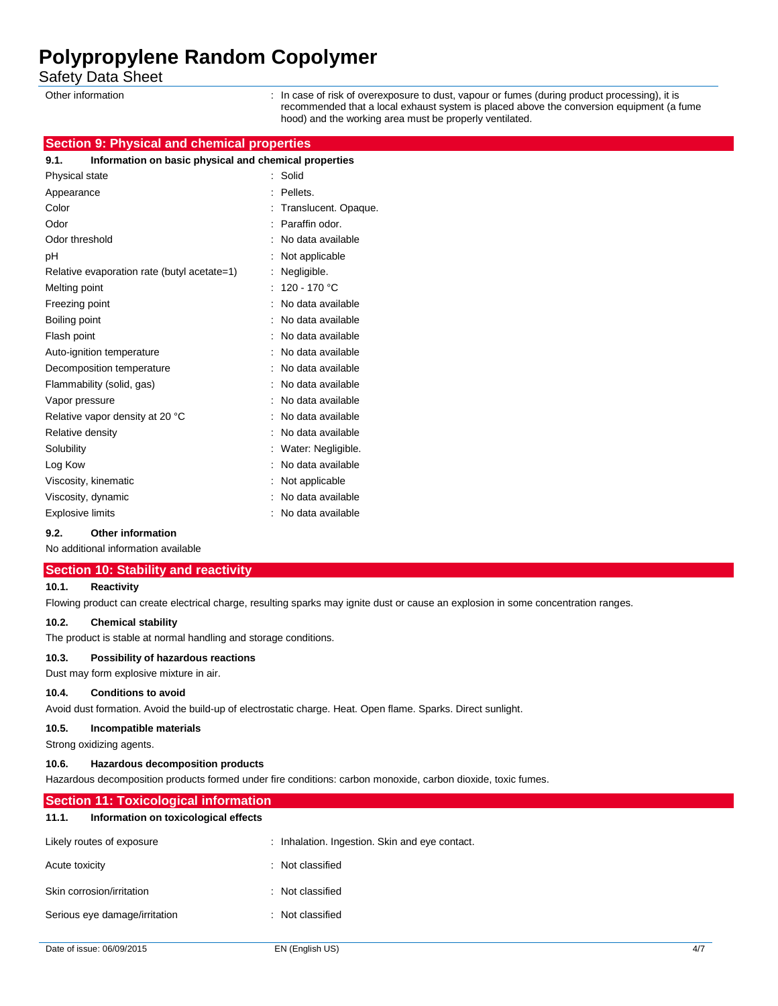Safety Data Sheet

Other information **interval on the case of risk of overexposure to dust**, vapour or fumes (during product processing), it is recommended that a local exhaust system is placed above the conversion equipment (a fume hood) and the working area must be properly ventilated.

# **Section 9: Physical and chemical properties**

| 9.1.<br>Information on basic physical and chemical properties |                      |
|---------------------------------------------------------------|----------------------|
| Physical state                                                | Solid                |
| Appearance                                                    | Pellets.             |
| Color                                                         | Translucent. Opaque. |
| Odor                                                          | Paraffin odor.       |
| Odor threshold                                                | No data available    |
| рH                                                            | Not applicable       |
| Relative evaporation rate (butyl acetate=1)                   | Negligible.          |
| Melting point                                                 | 120 - 170 °C         |
| Freezing point                                                | No data available    |
| Boiling point                                                 | No data available    |
| Flash point                                                   | No data available    |
| Auto-ignition temperature                                     | No data available    |
| Decomposition temperature                                     | No data available    |
| Flammability (solid, gas)                                     | No data available    |
| Vapor pressure                                                | No data available    |
| Relative vapor density at 20 °C                               | No data available    |
| Relative density                                              | No data available    |
| Solubility                                                    | Water: Negligible.   |
| Log Kow                                                       | No data available    |
| Viscosity, kinematic                                          | Not applicable       |
| Viscosity, dynamic                                            | No data available    |
| <b>Explosive limits</b>                                       | No data available    |

#### **9.2. Other information**

No additional information available

#### **Section 10: Stability and reactivity**

#### **10.1. Reactivity**

Flowing product can create electrical charge, resulting sparks may ignite dust or cause an explosion in some concentration ranges.

# **10.2. Chemical stability**

The product is stable at normal handling and storage conditions.

Serious eye damage/irritation : Not classified

#### **10.3. Possibility of hazardous reactions**

Dust may form explosive mixture in air.

#### **10.4. Conditions to avoid**

Avoid dust formation. Avoid the build-up of electrostatic charge. Heat. Open flame. Sparks. Direct sunlight.

#### **10.5. Incompatible materials**

Strong oxidizing agents.

#### **10.6. Hazardous decomposition products**

Hazardous decomposition products formed under fire conditions: carbon monoxide, carbon dioxide, toxic fumes.

| <b>Section 11: Toxicological information</b>  |                                                |  |  |
|-----------------------------------------------|------------------------------------------------|--|--|
| Information on toxicological effects<br>11.1. |                                                |  |  |
| Likely routes of exposure                     | : Inhalation. Ingestion. Skin and eye contact. |  |  |
| Acute toxicity                                | : Not classified                               |  |  |
| Skin corrosion/irritation                     | : Not classified                               |  |  |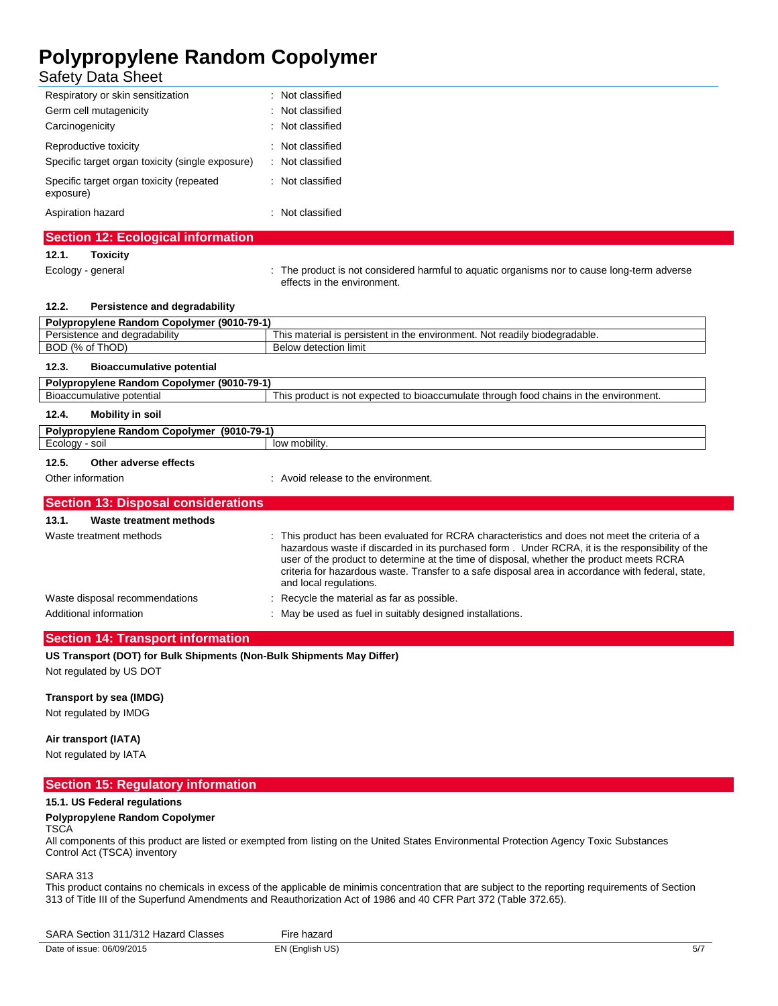# Safety Data Sheet

| Respiratory or skin sensitization                     | : Not classified |
|-------------------------------------------------------|------------------|
| Germ cell mutagenicity                                | : Not classified |
| Carcinogenicity                                       | : Not classified |
| Reproductive toxicity                                 | : Not classified |
| Specific target organ toxicity (single exposure)      | : Not classified |
| Specific target organ toxicity (repeated<br>exposure) | : Not classified |
| Aspiration hazard                                     | Not classified   |

# **Section 12: Ecological information**

### **12.1. Toxicity**

Ecology - general **interproduct is not considered harmful to aquatic organisms nor to cause long-term adverse** effects in the environment.

| Persistence and degradability<br>12.2. |  |
|----------------------------------------|--|
|----------------------------------------|--|

| Polypropylene Random Copolymer (9010-79-1) |                                                                                                                                                                                                                                                                                                                                                                                                    |
|--------------------------------------------|----------------------------------------------------------------------------------------------------------------------------------------------------------------------------------------------------------------------------------------------------------------------------------------------------------------------------------------------------------------------------------------------------|
| Persistence and degradability              | This material is persistent in the environment. Not readily biodegradable.                                                                                                                                                                                                                                                                                                                         |
| BOD (% of ThOD)                            | <b>Below detection limit</b>                                                                                                                                                                                                                                                                                                                                                                       |
| <b>Bioaccumulative potential</b><br>12.3.  |                                                                                                                                                                                                                                                                                                                                                                                                    |
| Polypropylene Random Copolymer (9010-79-1) |                                                                                                                                                                                                                                                                                                                                                                                                    |
| Bioaccumulative potential                  | This product is not expected to bioaccumulate through food chains in the environment.                                                                                                                                                                                                                                                                                                              |
| <b>Mobility in soil</b><br>12.4.           |                                                                                                                                                                                                                                                                                                                                                                                                    |
| Polypropylene Random Copolymer (9010-79-1) |                                                                                                                                                                                                                                                                                                                                                                                                    |
| Ecology - soil                             | low mobility.                                                                                                                                                                                                                                                                                                                                                                                      |
| Other adverse effects<br>12.5.             |                                                                                                                                                                                                                                                                                                                                                                                                    |
| Other information                          | : Avoid release to the environment.                                                                                                                                                                                                                                                                                                                                                                |
|                                            |                                                                                                                                                                                                                                                                                                                                                                                                    |
| <b>Section 13: Disposal considerations</b> |                                                                                                                                                                                                                                                                                                                                                                                                    |
| 13.1.<br>Waste treatment methods           |                                                                                                                                                                                                                                                                                                                                                                                                    |
| Waste treatment methods                    | : This product has been evaluated for RCRA characteristics and does not meet the criteria of a<br>hazardous waste if discarded in its purchased form. Under RCRA, it is the responsibility of the<br>user of the product to determine at the time of disposal, whether the product meets RCRA<br>criteria for hazardous waste. Transfer to a safe disposal area in accordance with federal, state, |

| Waste disposal recommendations |  |
|--------------------------------|--|
|--------------------------------|--|

: Recycle the material as far as possible. Additional information **incomation** : May be used as fuel in suitably designed installations.

and local regulations.

## **Section 14: Transport information**

**US Transport (DOT) for Bulk Shipments (Non-Bulk Shipments May Differ)**

Not regulated by US DOT

## **Transport by sea (IMDG)**

Not regulated by IMDG

### **Air transport (IATA)**

Not regulated by IATA

|  | <b>Section 15: Regulatory information</b> |  |
|--|-------------------------------------------|--|
|  |                                           |  |

### **15.1. US Federal regulations**

### **Polypropylene Random Copolymer**

**TSCA** 

All components of this product are listed or exempted from listing on the United States Environmental Protection Agency Toxic Substances Control Act (TSCA) inventory

SARA 313

This product contains no chemicals in excess of the applicable de minimis concentration that are subject to the reporting requirements of Section 313 of Title III of the Superfund Amendments and Reauthorization Act of 1986 and 40 CFR Part 372 (Table 372.65).

| SARA Section 311/312 Hazard 0<br>' Classes | hazard<br>∙ır≏  |     |
|--------------------------------------------|-----------------|-----|
| Date of issue: (<br>06/09/2015             | EN (English US) | 57. |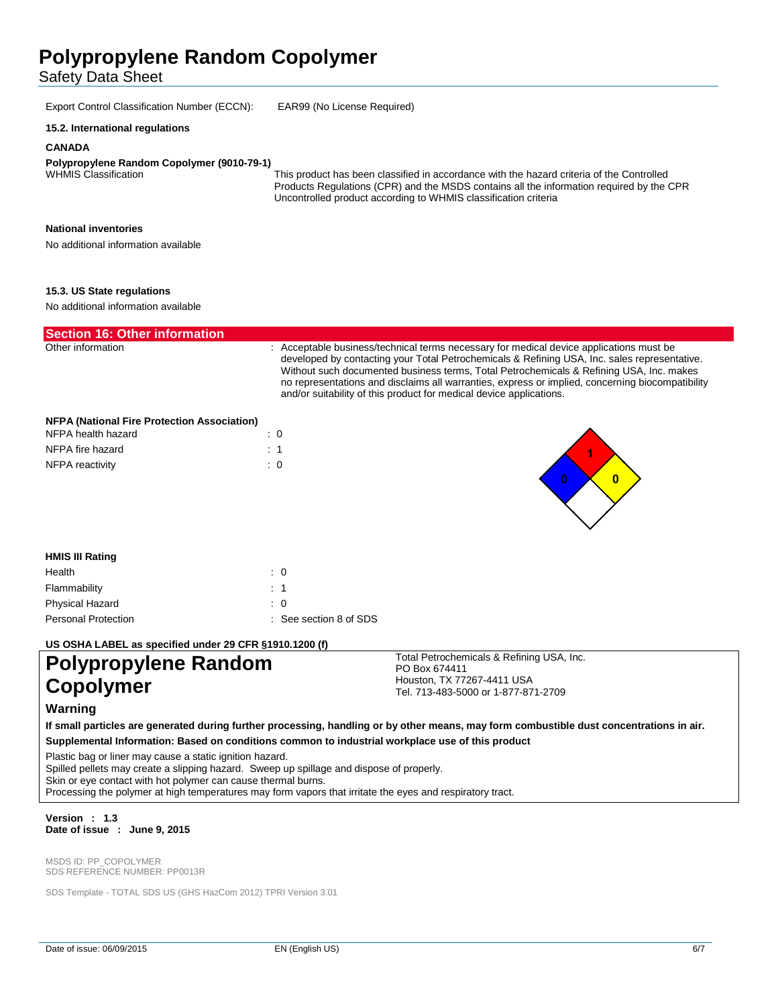Safety Data Sheet

Export Control Classification Number (ECCN): EAR99 (No License Required)

#### **15.2. International regulations**

#### **CANADA**

# **Polypropylene Random Copolymer (9010-79-1)**

This product has been classified in accordance with the hazard criteria of the Controlled Products Regulations (CPR) and the MSDS contains all the information required by the CPR Uncontrolled product according to WHMIS classification criteria

Total Petrochemicals & Refining USA, Inc.

Houston, TX 77267-4411 USA Tel. 713-483-5000 or 1-877-871-2709

PO Box 674411

### **National inventories**

No additional information available

#### **15.3. US State regulations**

No additional information available

| <b>Section 16: Other information</b>               |                                                                                                                                                                                                                                                                                                                                                                                                                                                               |  |  |
|----------------------------------------------------|---------------------------------------------------------------------------------------------------------------------------------------------------------------------------------------------------------------------------------------------------------------------------------------------------------------------------------------------------------------------------------------------------------------------------------------------------------------|--|--|
| Other information                                  | : Acceptable business/technical terms necessary for medical device applications must be<br>developed by contacting your Total Petrochemicals & Refining USA, Inc. sales representative.<br>Without such documented business terms, Total Petrochemicals & Refining USA, Inc. makes<br>no representations and disclaims all warranties, express or implied, concerning biocompatibility<br>and/or suitability of this product for medical device applications. |  |  |
| <b>NFPA (National Fire Protection Association)</b> |                                                                                                                                                                                                                                                                                                                                                                                                                                                               |  |  |
| NFPA health hazard                                 |                                                                                                                                                                                                                                                                                                                                                                                                                                                               |  |  |
| NFPA fire hazard                                   |                                                                                                                                                                                                                                                                                                                                                                                                                                                               |  |  |

## **HMIS III Rating** Health : 0 Flammability : 1 Physical Hazard : 0 Personal Protection : See section 8 of SDS

**US OSHA LABEL as specified under 29 CFR §1910.1200 (f)**

# **Polypropylene Random Copolymer**

NFPA reactivity in the set of the set of the set of the set of the set of the set of the set of the set of the set of the set of the set of the set of the set of the set of the set of the set of the set of the set of the s

### **Warning**

**If small particles are generated during further processing, handling or by other means, may form combustible dust concentrations in air. Supplemental Information: Based on conditions common to industrial workplace use of this product** 

Plastic bag or liner may cause a static ignition hazard.

Spilled pellets may create a slipping hazard. Sweep up spillage and dispose of properly.

Skin or eye contact with hot polymer can cause thermal burns.

Processing the polymer at high temperatures may form vapors that irritate the eyes and respiratory tract.

#### **Version : 1.3 Date of issue : June 9, 2015**

MSDS ID: PP\_COPOLYMER SDS REFERENCE NUMBER: PP0013R

SDS Template - TOTAL SDS US (GHS HazCom 2012) TPRI Version 3.01